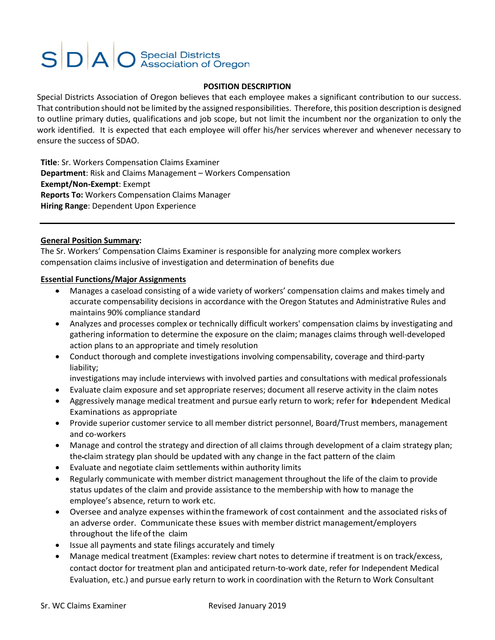# **SDAO** Special Districts

#### **POSITION DESCRIPTION**

Special Districts Association of Oregon believes that each employee makes a significant contribution to our success. That contribution should not be limited by the assigned responsibilities. Therefore, this position description is designed to outline primary duties, qualifications and job scope, but not limit the incumbent nor the organization to only the work identified. It is expected that each employee will offer his/her services wherever and whenever necessary to ensure the success of SDAO.

**Title**: Sr. Workers Compensation Claims Examiner **Department**: Risk and Claims Management – Workers Compensation **Exempt/Non-Exempt**: Exempt **Reports To:** Workers Compensation Claims Manager **Hiring Range**: Dependent Upon Experience

#### **General Position Summary:**

The Sr. Workers' Compensation Claims Examiner is responsible for analyzing more complex workers compensation claims inclusive of investigation and determination of benefits due

#### **Essential Functions/Major Assignments**

- Manages a caseload consisting of a wide variety of workers' compensation claims and makes timely and accurate compensability decisions in accordance with the Oregon Statutes and Administrative Rules and maintains 90% compliance standard
- Analyzes and processes complex or technically difficult workers' compensation claims by investigating and gathering information to determine the exposure on the claim; manages claims through well-developed action plans to an appropriate and timely resolution
- Conduct thorough and complete investigations involving compensability, coverage and third-party liability;

investigations may include interviews with involved parties and consultations with medical professionals

- Evaluate claim exposure and set appropriate reserves; document all reserve activity in the claim notes
- Aggressively manage medical treatment and pursue early return to work; refer for Independent Medical Examinations as appropriate
- Provide superior customer service to all member district personnel, Board/Trust members, management and co-workers
- Manage and control the strategy and direction of all claims through development of a claim strategy plan; the claim strategy plan should be updated with any change in the fact pattern of the claim
- Evaluate and negotiate claim settlements within authority limits
- Regularly communicate with member district management throughout the life of the claim to provide status updates of the claim and provide assistance to the membership with how to manage the employee's absence, return to work etc.
- Oversee and analyze expenses withinthe framework of cost containment and the associated risks of an adverse order. Communicate these issues with member district management/employers throughout the lifeofthe claim
- Issue all payments and state filings accurately and timely
- Manage medical treatment (Examples: review chart notes to determine if treatment is on track/excess, contact doctor for treatment plan and anticipated return-to-work date, refer for Independent Medical Evaluation, etc.) and pursue early return to work in coordination with the Return to Work Consultant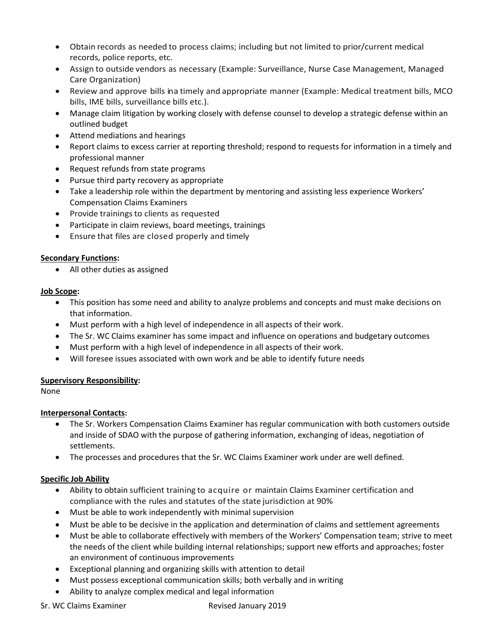- Obtain records as needed to process claims; including but not limited to prior/current medical records, police reports, etc.
- Assign to outside vendors as necessary (Example: Surveillance, Nurse Case Management, Managed Care Organization)
- Review and approve bills ina timely and appropriate manner (Example: Medical treatment bills, MCO bills, IME bills, surveillance bills etc.).
- Manage claim litigation by working closely with defense counsel to develop a strategic defense within an outlined budget
- Attend mediations and hearings
- Report claims to excess carrier at reporting threshold; respond to requests for information in a timely and professional manner
- Request refunds from state programs
- Pursue third party recovery as appropriate
- Take a leadership role within the department by mentoring and assisting less experience Workers' Compensation Claims Examiners
- Provide trainings to clients as requested
- Participate in claim reviews, board meetings, trainings
- Ensure that files are closed properly and timely

# **Secondary Functions:**

• All other duties as assigned

### **Job Scope:**

- This position has some need and ability to analyze problems and concepts and must make decisions on that information.
- Must perform with a high level of independence in all aspects of their work.
- The Sr. WC Claims examiner has some impact and influence on operations and budgetary outcomes
- Must perform with a high level of independence in all aspects of their work.
- Will foresee issues associated with own work and be able to identify future needs

# **Supervisory Responsibility:**

None

# **Interpersonal Contacts:**

- The Sr. Workers Compensation Claims Examiner has regular communication with both customers outside and inside of SDAO with the purpose of gathering information, exchanging of ideas, negotiation of settlements.
- The processes and procedures that the Sr. WC Claims Examiner work under are well defined.

# **Specific Job Ability**

- Ability to obtain sufficient training to acquire or maintain Claims Examiner certification and compliance with the rules and statutes of the state jurisdiction at 90%
- Must be able to work independently with minimal supervision
- Must be able to be decisive in the application and determination of claims and settlement agreements
- Must be able to collaborate effectively with members of the Workers' Compensation team; strive to meet the needs of the client while building internal relationships; support new efforts and approaches; foster an environment of continuous improvements
- Exceptional planning and organizing skills with attention to detail
- Must possess exceptional communication skills; both verbally and in writing
- Ability to analyze complex medical and legal information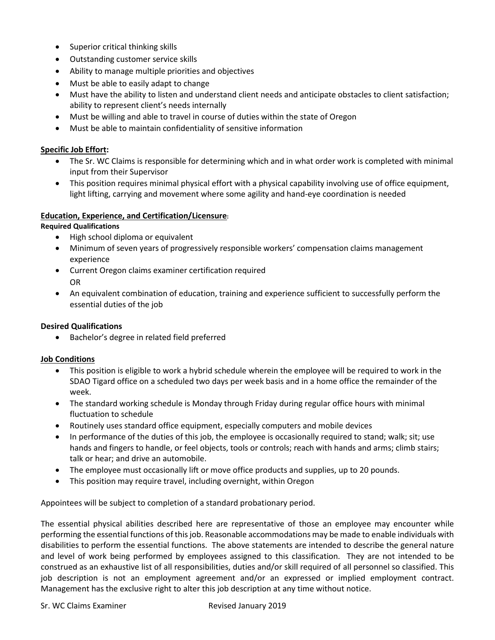- Superior critical thinking skills
- Outstanding customer service skills
- Ability to manage multiple priorities and objectives
- Must be able to easily adapt to change
- Must have the ability to listen and understand client needs and anticipate obstacles to client satisfaction; ability to represent client's needs internally
- Must be willing and able to travel in course of duties within the state of Oregon
- Must be able to maintain confidentiality of sensitive information

#### **Specific Job Effort:**

- The Sr. WC Claims is responsible for determining which and in what order work is completed with minimal input from their Supervisor
- This position requires minimal physical effort with a physical capability involving use of office equipment, light lifting, carrying and movement where some agility and hand-eye coordination is needed

#### **Education, Experience, and Certification/Licensure:**

#### **Required Qualifications**

- High school diploma or equivalent
- Minimum of seven years of progressively responsible workers' compensation claims management experience
- Current Oregon claims examiner certification required OR
- An equivalent combination of education, training and experience sufficient to successfully perform the essential duties of the job

#### **Desired Qualifications**

• Bachelor's degree in related field preferred

#### **Job Conditions**

- This position is eligible to work a hybrid schedule wherein the employee will be required to work in the SDAO Tigard office on a scheduled two days per week basis and in a home office the remainder of the week.
- The standard working schedule is Monday through Friday during regular office hours with minimal fluctuation to schedule
- Routinely uses standard office equipment, especially computers and mobile devices
- In performance of the duties of this job, the employee is occasionally required to stand; walk; sit; use hands and fingers to handle, or feel objects, tools or controls; reach with hands and arms; climb stairs; talk or hear; and drive an automobile.
- The employee must occasionally lift or move office products and supplies, up to 20 pounds.
- This position may require travel, including overnight, within Oregon

Appointees will be subject to completion of a standard probationary period.

The essential physical abilities described here are representative of those an employee may encounter while performing the essential functions of this job. Reasonable accommodations may be made to enable individuals with disabilities to perform the essential functions. The above statements are intended to describe the general nature and level of work being performed by employees assigned to this classification. They are not intended to be construed as an exhaustive list of all responsibilities, duties and/or skill required of all personnel so classified. This job description is not an employment agreement and/or an expressed or implied employment contract. Management has the exclusive right to alter this job description at any time without notice.